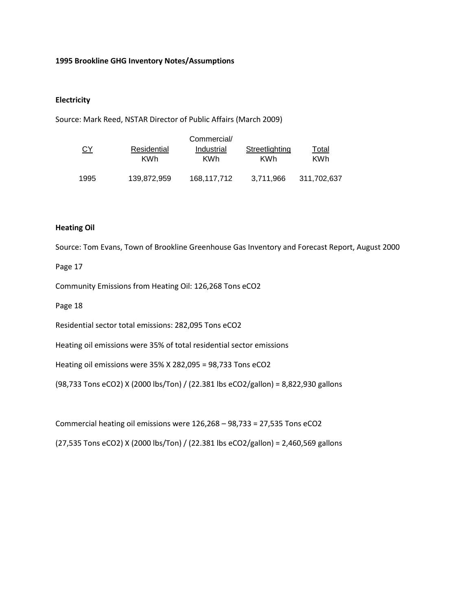## **1995 Brookline GHG Inventory Notes/Assumptions**

## **Electricity**

Source: Mark Reed, NSTAR Director of Public Affairs (March 2009)

|           |                           | Commercial/              |                              |                     |
|-----------|---------------------------|--------------------------|------------------------------|---------------------|
| <u>CY</u> | Residential<br><b>KWh</b> | Industrial<br><b>KWh</b> | Streetlighting<br><b>KWh</b> | Total<br><b>KWh</b> |
| 1995      | 139,872,959               | 168,117,712              | 3,711,966                    | 311,702,637         |

## **Heating Oil**

Source: Tom Evans, Town of Brookline Greenhouse Gas Inventory and Forecast Report, August 2000

#### Page 17

Community Emissions from Heating Oil: 126,268 Tons eCO2

Page 18

Residential sector total emissions: 282,095 Tons eCO2

Heating oil emissions were 35% of total residential sector emissions

Heating oil emissions were 35% X 282,095 = 98,733 Tons eCO2

(98,733 Tons eCO2) X (2000 lbs/Ton) / (22.381 lbs eCO2/gallon) = 8,822,930 gallons

Commercial heating oil emissions were 126,268 – 98,733 = 27,535 Tons eCO2

(27,535 Tons eCO2) X (2000 lbs/Ton) / (22.381 lbs eCO2/gallon) = 2,460,569 gallons